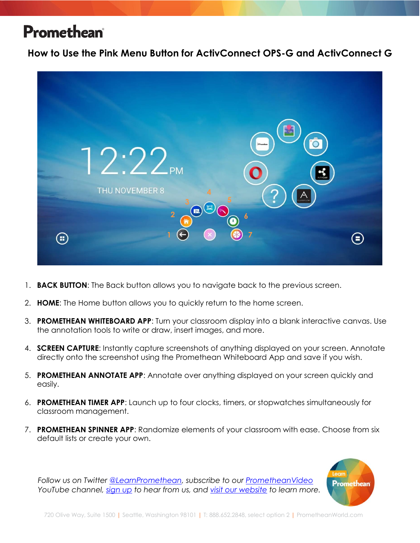**How to Use the Pink Menu Button for ActivConnect OPS-G and ActivConnect G**



- 1. **BACK BUTTON**: The Back button allows you to navigate back to the previous screen.
- 2. **HOME**: The Home button allows you to quickly return to the home screen.
- 3. **PROMETHEAN WHITEBOARD APP**: Turn your classroom display into a blank interactive canvas. Use the annotation tools to write or draw, insert images, and more.
- 4. **SCREEN CAPTURE**: Instantly capture screenshots of anything displayed on your screen. Annotate directly onto the screenshot using the Promethean Whiteboard App and save if you wish.
- 5. **PROMETHEAN ANNOTATE APP**: Annotate over anything displayed on your screen quickly and easily.
- 6. **PROMETHEAN TIMER APP**: Launch up to four clocks, timers, or stopwatches simultaneously for classroom management.
- 7. **PROMETHEAN SPINNER APP**: Randomize elements of your classroom with ease. Choose from six default lists or create your own.



*Follow us on Twitter [@LearnPromethean,](https://twitter.com/learnpromethean?lang=en) subscribe to our [PrometheanVideo](https://www.youtube.com/channel/UCxGtQa1jgL-5FsCP4yIwlVQ) YouTube channel, [sign up](http://bit.ly/SubscribeLearnPromethean) to hear from us, and [visit our website](https://blog.prometheanworld.com/learn-promethean/) to learn more.*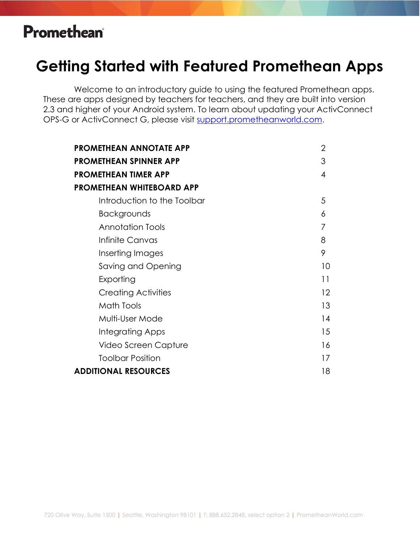#### **Getting Started with Featured Promethean Apps**

Welcome to an introductory guide to using the featured Promethean apps. These are apps designed by teachers for teachers, and they are built into version 2.3 and higher of your Android system. To learn about updating your ActivConnect OPS-G or ActivConnect G, please visit [support.prometheanworld.com.](http://support.prometheanworld.com/)

| $\overline{2}$ |
|----------------|
| 3              |
| 4              |
|                |
| 5              |
| 6              |
| 7              |
| 8              |
| 9              |
| 10             |
| 11             |
| 12             |
| 13             |
| 14             |
| 15             |
| 16             |
| 17             |
| 18             |
|                |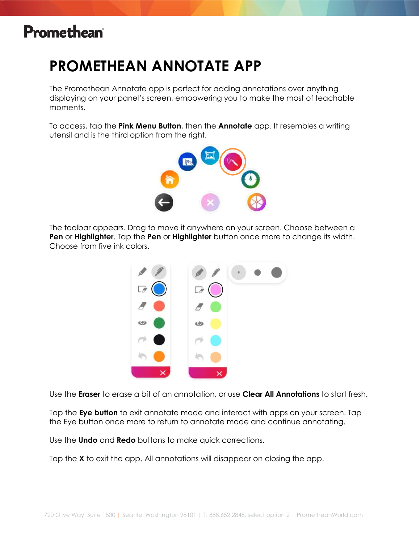## **PROMETHEAN ANNOTATE APP**

The Promethean Annotate app is perfect for adding annotations over anything displaying on your panel's screen, empowering you to make the most of teachable moments.

To access, tap the **Pink Menu Button**, then the **Annotate** app. It resembles a writing utensil and is the third option from the right.



The toolbar appears. Drag to move it anywhere on your screen. Choose between a **Pen** or **Highlighter**. Tap the **Pen** or **Highlighter** button once more to change its width. Choose from five ink colors.



Use the **Eraser** to erase a bit of an annotation, or use **Clear All Annotations** to start fresh.

Tap the **Eye button** to exit annotate mode and interact with apps on your screen. Tap the Eye button once more to return to annotate mode and continue annotating.

Use the **Undo** and **Redo** buttons to make quick corrections.

Tap the **X** to exit the app. All annotations will disappear on closing the app.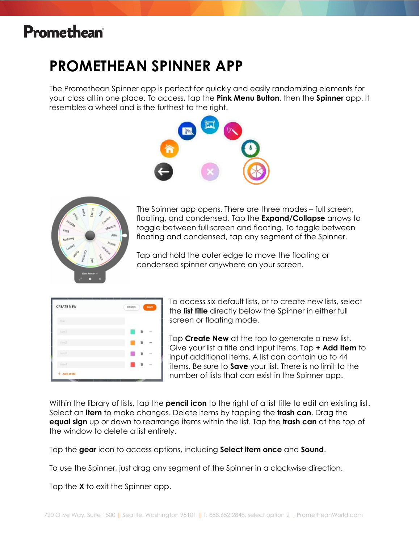### **PROMETHEAN SPINNER APP**

The Promethean Spinner app is perfect for quickly and easily randomizing elements for your class all in one place. To access, tap the **Pink Menu Button**, then the **Spinner** app. It resembles a wheel and is the furthest to the right.





The Spinner app opens. There are three modes – full screen, floating, and condensed. Tap the **Expand/Collapse** arrows to toggle between full screen and floating. To toggle between floating and condensed, tap any segment of the Spinner.

Tap and hold the outer edge to move the floating or condensed spinner anywhere on your screen.

| <b>CREATE NEW</b> | SAVE<br><b>CANCEL</b>   |
|-------------------|-------------------------|
| title             |                         |
| ItemT             | $\qquad \qquad =\qquad$ |
| Kern2             | Ħ<br>$\equiv$           |
| Item3             | $\sim$<br>ū             |
| item4             | Ŵ<br>$\sim$             |

To access six default lists, or to create new lists, select the **list title** directly below the Spinner in either full screen or floating mode.

Tap **Create New** at the top to generate a new list. Give your list a title and input items. Tap **+ Add Item** to input additional items. A list can contain up to 44 items. Be sure to **Save** your list. There is no limit to the number of lists that can exist in the Spinner app.

Within the library of lists, tap the **pencil icon** to the right of a list title to edit an existing list. Select an **item** to make changes. Delete items by tapping the **trash can**. Drag the **equal sign** up or down to rearrange items within the list. Tap the **trash can** at the top of the window to delete a list entirely.

Tap the **gear** icon to access options, including **Select item once** and **Sound**.

To use the Spinner, just drag any segment of the Spinner in a clockwise direction.

Tap the **X** to exit the Spinner app.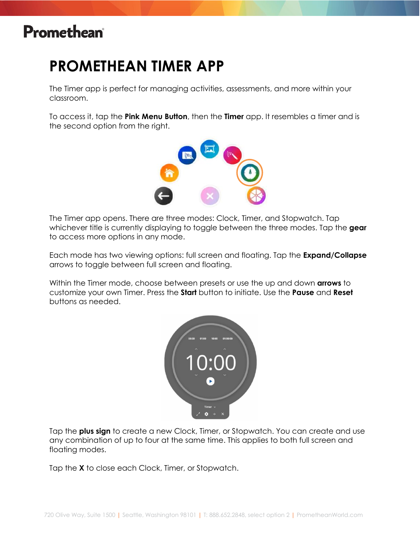### **PROMETHEAN TIMER APP**

The Timer app is perfect for managing activities, assessments, and more within your classroom.

To access it, tap the **Pink Menu Button**, then the **Timer** app. It resembles a timer and is the second option from the right.



The Timer app opens. There are three modes: Clock, Timer, and Stopwatch. Tap whichever title is currently displaying to toggle between the three modes. Tap the **gear** to access more options in any mode.

Each mode has two viewing options: full screen and floating. Tap the **Expand/Collapse** arrows to toggle between full screen and floating.

Within the Timer mode, choose between presets or use the up and down **arrows** to customize your own Timer. Press the **Start** button to initiate. Use the **Pause** and **Reset** buttons as needed.

![](_page_4_Figure_8.jpeg)

Tap the **plus sign** to create a new Clock, Timer, or Stopwatch. You can create and use any combination of up to four at the same time. This applies to both full screen and floating modes.

Tap the **X** to close each Clock, Timer, or Stopwatch.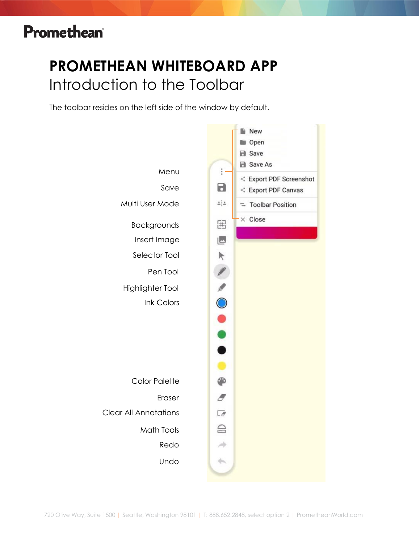# **PROMETHEAN WHITEBOARD APP** Introduction to the Toolbar

The toolbar resides on the left side of the window by default.

![](_page_5_Figure_3.jpeg)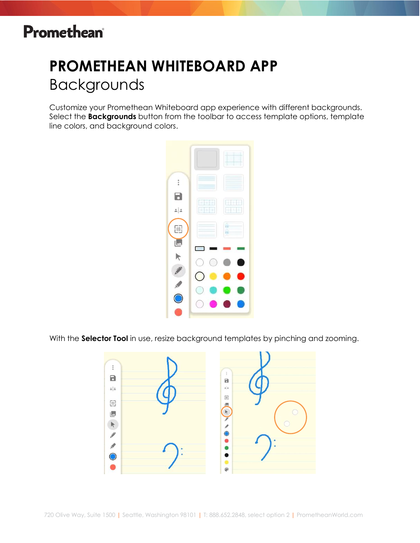# **PROMETHEAN WHITEBOARD APP** Backgrounds

Customize your Promethean Whiteboard app experience with different backgrounds. Select the **Backgrounds** button from the toolbar to access template options, template line colors, and background colors.

![](_page_6_Figure_3.jpeg)

With the **Selector Tool** in use, resize background templates by pinching and zooming.

![](_page_6_Figure_5.jpeg)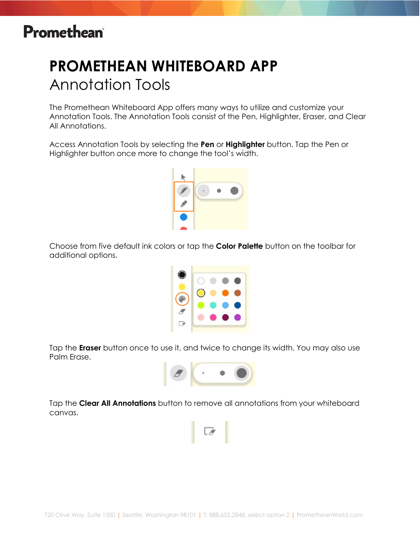# **PROMETHEAN WHITEBOARD APP** Annotation Tools

The Promethean Whiteboard App offers many ways to utilize and customize your Annotation Tools. The Annotation Tools consist of the Pen, Highlighter, Eraser, and Clear All Annotations.

Access Annotation Tools by selecting the **Pen** or **Highlighter** button. Tap the Pen or Highlighter button once more to change the tool's width.

![](_page_7_Picture_4.jpeg)

Choose from five default ink colors or tap the **Color Palette** button on the toolbar for additional options.

![](_page_7_Picture_6.jpeg)

Tap the **Eraser** button once to use it, and twice to change its width. You may also use Palm Erase.

![](_page_7_Picture_8.jpeg)

Tap the **Clear All Annotations** button to remove all annotations from your whiteboard canvas.

![](_page_7_Picture_10.jpeg)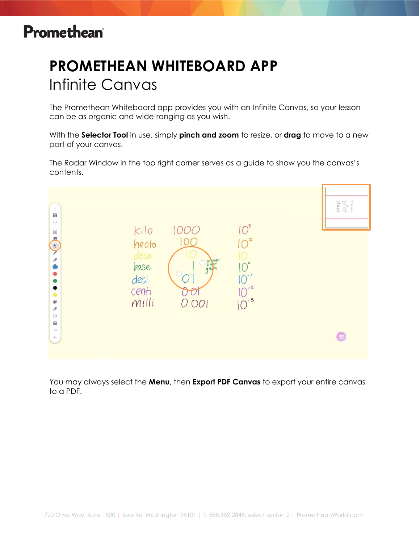# **PROMETHEAN WHITEBOARD APP** Infinite Canvas

The Promethean Whiteboard app provides you with an Infinite Canvas, so your lesson can be as organic and wide-ranging as you wish.

With the **Selector Tool** in use, simply **pinch and zoom** to resize, or **drag** to move to a new part of your canvas.

The Radar Window in the top right corner serves as a guide to show you the canvas's contents.

![](_page_8_Figure_5.jpeg)

You may always select the **Menu**, then **Export PDF Canvas** to export your entire canvas to a PDF.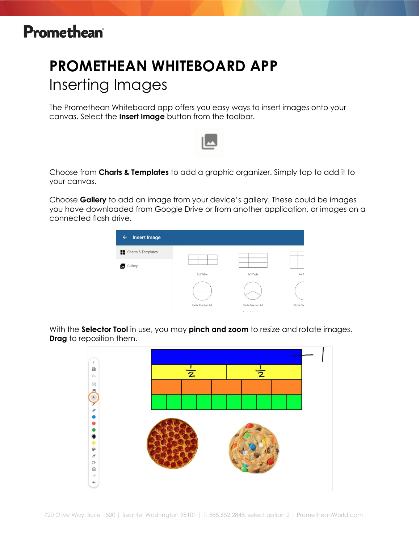# **PROMETHEAN WHITEBOARD APP** Inserting Images

The Promethean Whiteboard app offers you easy ways to insert images onto your canvas. Select the **Insert Image** button from the toolbar.

![](_page_9_Picture_3.jpeg)

Choose from **Charts & Templates** to add a graphic organizer. Simply tap to add it to your canvas.

Choose **Gallery** to add an image from your device's gallery. These could be images you have downloaded from Google Drive or from another application, or images on a connected flash drive.

![](_page_9_Picture_6.jpeg)

With the **Selector Tool** in use, you may **pinch and zoom** to resize and rotate images. **Drag** to reposition them.

![](_page_9_Figure_8.jpeg)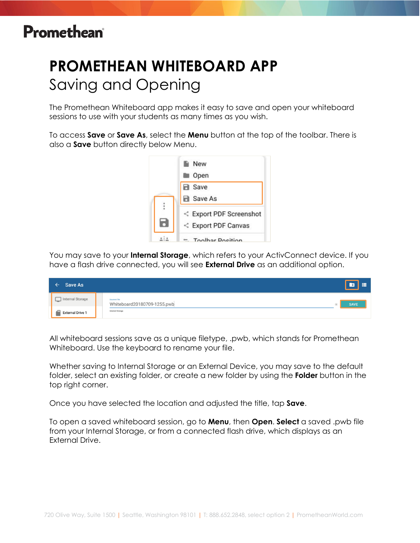# **PROMETHEAN WHITEBOARD APP** Saving and Opening

The Promethean Whiteboard app makes it easy to save and open your whiteboard sessions to use with your students as many times as you wish.

To access **Save** or **Save As**, select the **Menu** button at the top of the toolbar. There is also a **Save** button directly below Menu.

![](_page_10_Picture_4.jpeg)

You may save to your **Internal Storage**, which refers to your ActivConnect device. If you have a flash drive connected, you will see **External Drive** as an additional option.

| Save As<br>$\leftarrow$ | $\boxed{\bullet}$ =                                                             |  |
|-------------------------|---------------------------------------------------------------------------------|--|
| Internal Storage        | <b>Document Title</b><br>Whiteboard20180709-1255.pwb<br><b>SAVE</b><br>$\times$ |  |
| <b>External Drive 1</b> | Internal Storage                                                                |  |

All whiteboard sessions save as a unique filetype, .pwb, which stands for Promethean Whiteboard. Use the keyboard to rename your file.

Whether saving to Internal Storage or an External Device, you may save to the default folder, select an existing folder, or create a new folder by using the **Folder** button in the top right corner.

Once you have selected the location and adjusted the title, tap **Save**.

To open a saved whiteboard session, go to **Menu**, then **Open**. **Select** a saved .pwb file from your Internal Storage, or from a connected flash drive, which displays as an External Drive.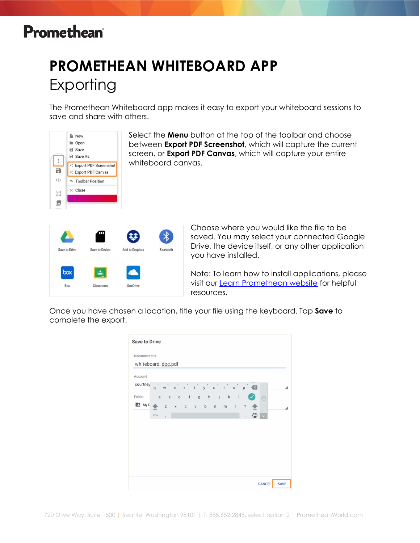# **PROMETHEAN WHITEBOARD APP** Exporting

The Promethean Whiteboard app makes it easy to export your whiteboard sessions to save and share with others.

![](_page_11_Picture_3.jpeg)

Select the **Menu** button at the top of the toolbar and choose between **Export PDF Screenshot**, which will capture the current screen, or **Export PDF Canvas**, which will capture your entire whiteboard canvas.

![](_page_11_Picture_5.jpeg)

Choose where you would like the file to be saved. You may select your connected Google Drive, the device itself, or any other application you have installed.

Note: To learn how to install applications, please visit our [Learn Promethean website](https://blog.prometheanworld.com/learn-promethean/) for helpful resources.

Once you have chosen a location, title your file using the keyboard. Tap **Save** to complete the export.

| <b>Save to Drive</b> |              |             |         |  |  |                 |            |              |               |             |
|----------------------|--------------|-------------|---------|--|--|-----------------|------------|--------------|---------------|-------------|
| Document title       |              |             |         |  |  |                 |            |              |               |             |
| whiteboard_doc.pdf   |              |             |         |  |  |                 |            |              |               |             |
| Account              |              |             |         |  |  |                 |            |              |               |             |
| courtney             |              |             |         |  |  | $q$ werty uiop  |            |              |               |             |
| Folder               | $\mathsf{a}$ |             |         |  |  | s d f g h j k l |            | $\checkmark$ | $\sqrt{n}$    |             |
| A My D               |              | $\mathbb Z$ | x c v b |  |  | $n$ $m$ !       | $\ddot{?}$ |              |               |             |
|                      | ?123         |             |         |  |  |                 |            | ☺            |               |             |
|                      |              |             |         |  |  |                 |            |              |               |             |
|                      |              |             |         |  |  |                 |            |              |               |             |
|                      |              |             |         |  |  |                 |            |              |               |             |
|                      |              |             |         |  |  |                 |            |              |               |             |
|                      |              |             |         |  |  |                 |            |              |               |             |
|                      |              |             |         |  |  |                 |            |              |               |             |
|                      |              |             |         |  |  |                 |            |              |               |             |
|                      |              |             |         |  |  |                 |            |              | <b>CANCEL</b> | <b>SAVE</b> |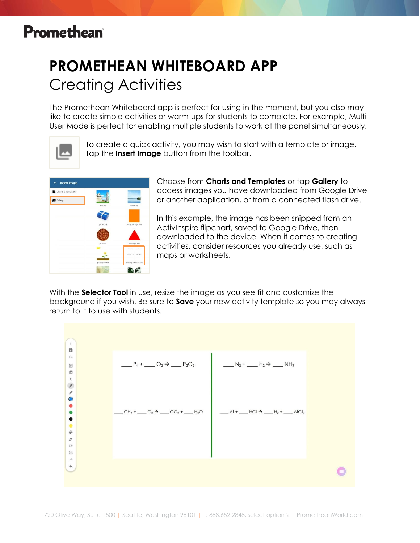# **PROMETHEAN WHITEBOARD APP** Creating Activities

The Promethean Whiteboard app is perfect for using in the moment, but you also may like to create simple activities or warm-ups for students to complete. For example, Multi User Mode is perfect for enabling multiple students to work at the panel simultaneously.

![](_page_12_Picture_3.jpeg)

To create a quick activity, you may wish to start with a template or image. Tap the **Insert Image** button from the toolbar.

![](_page_12_Picture_5.jpeg)

Choose from **Charts and Templates** or tap **Gallery** to access images you have downloaded from Google Drive or another application, or from a connected flash drive.

In this example, the image has been snipped from an ActivInspire flipchart, saved to Google Drive, then downloaded to the device. When it comes to creating activities, consider resources you already use, such as maps or worksheets.

With the **Selector Tool** in use, resize the image as you see fit and customize the background if you wish. Be sure to **Save** your new activity template so you may always return to it to use with students.

![](_page_12_Figure_9.jpeg)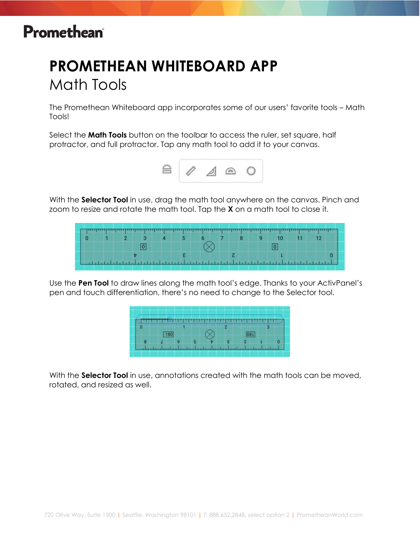## **PROMETHEAN WHITEBOARD APP** Math Tools

The Promethean Whiteboard app incorporates some of our users' favorite tools – Math Tools!

Select the **Math Tools** button on the toolbar to access the ruler, set square, half protractor, and full protractor. Tap any math tool to add it to your canvas.

![](_page_13_Picture_4.jpeg)

With the **Selector Tool** in use, drag the math tool anywhere on the canvas. Pinch and zoom to resize and rotate the math tool. Tap the **X** on a math tool to close it.

|  |  |  |  |  |  | ratrandes dragobered entratrices benefitents independent beträngt behende melgangspartiel bärendamplementer in |  |
|--|--|--|--|--|--|----------------------------------------------------------------------------------------------------------------|--|

Use the **Pen Tool** to draw lines along the math tool's edge. Thanks to your ActivPanel's pen and touch differentiation, there's no need to change to the Selector tool.

| п |  |  |  |  |
|---|--|--|--|--|
|   |  |  |  |  |
|   |  |  |  |  |

With the **Selector Tool** in use, annotations created with the math tools can be moved, rotated, and resized as well.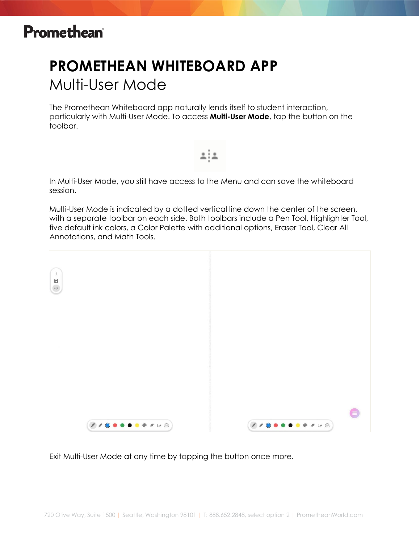# **PROMETHEAN WHITEBOARD APP** Multi-User Mode

The Promethean Whiteboard app naturally lends itself to student interaction, particularly with Multi-User Mode. To access **Multi-User Mode**, tap the button on the toolbar.

≞i≗

In Multi-User Mode, you still have access to the Menu and can save the whiteboard session.

Multi-User Mode is indicated by a dotted vertical line down the center of the screen, with a separate toolbar on each side. Both toolbars include a Pen Tool, Highlighter Tool, five default ink colors, a Color Palette with additional options, Eraser Tool, Clear All Annotations, and Math Tools.

![](_page_14_Picture_6.jpeg)

Exit Multi-User Mode at any time by tapping the button once more.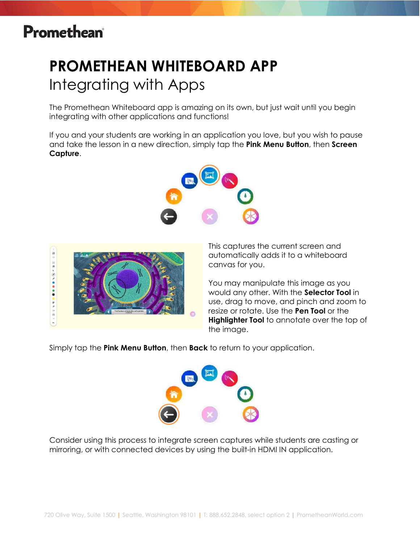# **PROMETHEAN WHITEBOARD APP** Integrating with Apps

The Promethean Whiteboard app is amazing on its own, but just wait until you begin integrating with other applications and functions!

If you and your students are working in an application you love, but you wish to pause and take the lesson in a new direction, simply tap the **Pink Menu Button**, then **Screen Capture**.

![](_page_15_Picture_4.jpeg)

![](_page_15_Picture_5.jpeg)

This captures the current screen and automatically adds it to a whiteboard canvas for you.

You may manipulate this image as you would any other. With the **Selector Tool** in use, drag to move, and pinch and zoom to resize or rotate. Use the **Pen Tool** or the **Highlighter Tool** to annotate over the top of the image.

Simply tap the **Pink Menu Button**, then **Back** to return to your application.

![](_page_15_Picture_9.jpeg)

Consider using this process to integrate screen captures while students are casting or mirroring, or with connected devices by using the built-in HDMI IN application.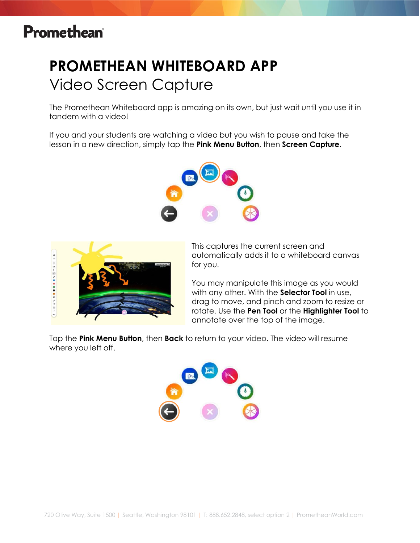# **PROMETHEAN WHITEBOARD APP** Video Screen Capture

The Promethean Whiteboard app is amazing on its own, but just wait until you use it in tandem with a video!

If you and your students are watching a video but you wish to pause and take the lesson in a new direction, simply tap the **Pink Menu Button**, then **Screen Capture**.

![](_page_16_Picture_4.jpeg)

![](_page_16_Picture_5.jpeg)

This captures the current screen and automatically adds it to a whiteboard canvas for you.

You may manipulate this image as you would with any other. With the **Selector Tool** in use, drag to move, and pinch and zoom to resize or rotate. Use the **Pen Tool** or the **Highlighter Tool** to annotate over the top of the image.

Tap the **Pink Menu Button**, then **Back** to return to your video. The video will resume where you left off.

![](_page_16_Figure_9.jpeg)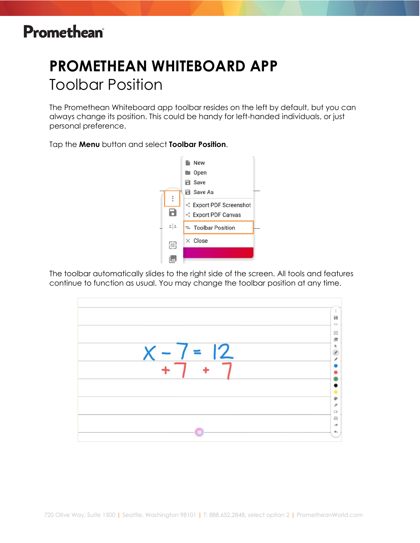# **PROMETHEAN WHITEBOARD APP** Toolbar Position

The Promethean Whiteboard app toolbar resides on the left by default, but you can always change its position. This could be handy for left-handed individuals, or just personal preference.

Tap the **Menu** button and select **Toolbar Position**.

![](_page_17_Picture_4.jpeg)

The toolbar automatically slides to the right side of the screen. All tools and features continue to function as usual. You may change the toolbar position at any time.

![](_page_17_Figure_6.jpeg)